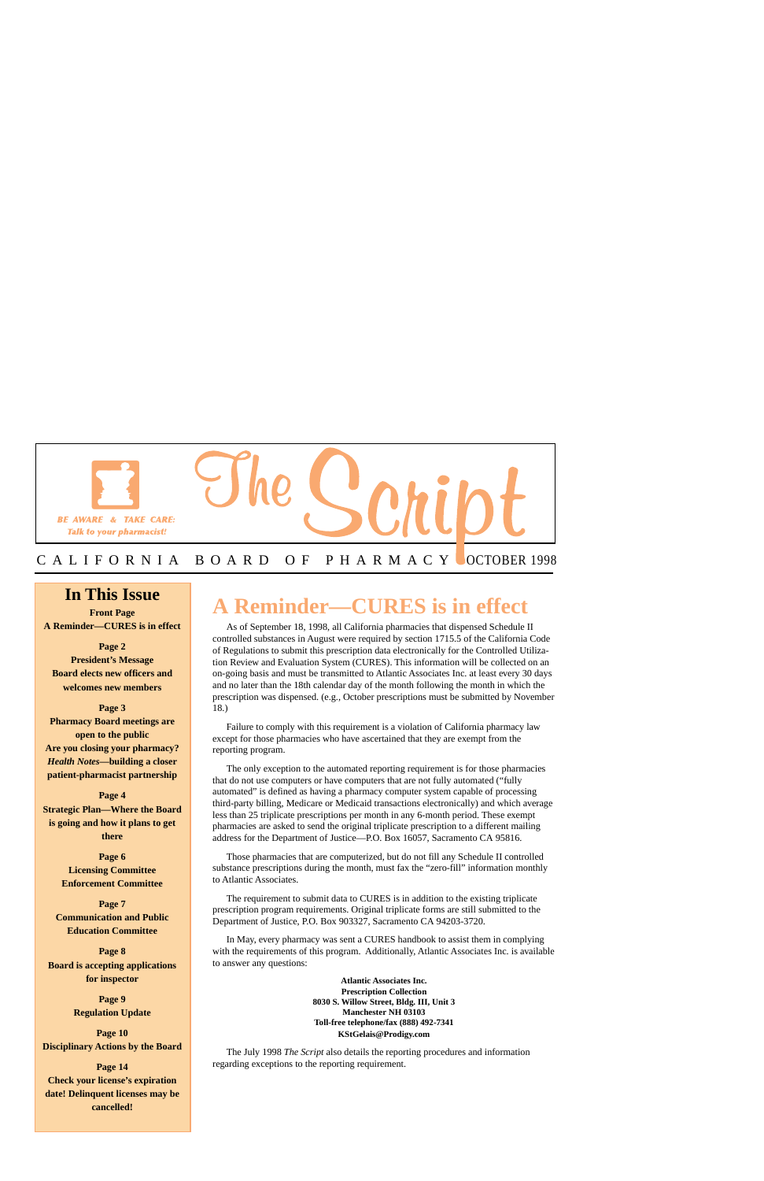

## C A L I F O R N I A B O A R D O F P H A R M A C Y OCTOBER 1998

## **In This Issue**

 $\overline{\phantom{0}}$ 

**Front Page A Reminder—CURES is in effect** 

**Page 2 President's Message Board elects new officers and welcomes new members** 

**Page 3 Pharmacy Board meetings are open to the public Are you closing your pharmacy?**  *Health Notes***—building a closer patient-pharmacist partnership** 

**Page 4 Strategic Plan—Where the Board is going and how it plans to get there** 

> **Page 6 Licensing Committee Enforcement Committee**

**Page 7 Communication and Public Education Committee** 

**Page 8 Board is accepting applications for inspector** 

> **Page 9 Regulation Update**

**Page 10 Disciplinary Actions by the Board** 

**Page 14 Check your license's expiration date! Delinquent licenses may be cancelled!** 

## **A Reminder—CURES is in effect**

As of September 18, 1998, all California pharmacies that dispensed Schedule II controlled substances in August were required by section 1715.5 of the California Code of Regulations to submit this prescription data electronically for the Controlled Utilization Review and Evaluation System (CURES). This information will be collected on an on-going basis and must be transmitted to Atlantic Associates Inc. at least every 30 days and no later than the 18th calendar day of the month following the month in which the prescription was dispensed. (e.g., October prescriptions must be submitted by November 18.)

Failure to comply with this requirement is a violation of California pharmacy law except for those pharmacies who have ascertained that they are exempt from the reporting program.

The only exception to the automated reporting requirement is for those pharmacies that do not use computers or have computers that are not fully automated ("fully automated" is defined as having a pharmacy computer system capable of processing third-party billing, Medicare or Medicaid transactions electronically) and which average less than 25 triplicate prescriptions per month in any 6-month period. These exempt pharmacies are asked to send the original triplicate prescription to a different mailing address for the Department of Justice—P.O. Box 16057, Sacramento CA 95816.

Those pharmacies that are computerized, but do not fill any Schedule II controlled substance prescriptions during the month, must fax the "zero-fill" information monthly to Atlantic Associates.

The requirement to submit data to CURES is in addition to the existing triplicate prescription program requirements. Original triplicate forms are still submitted to the Department of Justice, P.O. Box 903327, Sacramento CA 94203-3720.

In May, every pharmacy was sent a CURES handbook to assist them in complying with the requirements of this program. Additionally, Atlantic Associates Inc. is available to answer any questions:

> **Atlantic Associates Inc. Prescription Collection 8030 S. Willow Street, Bldg. III, Unit 3 Manchester NH 03103 Toll-free telephone/fax (888) 492-7341 [KStGelais@Prodigy.com](mailto:KStGelais@Prodigy.com)**

The July 1998 *The Script* also details the reporting procedures and information regarding exceptions to the reporting requirement.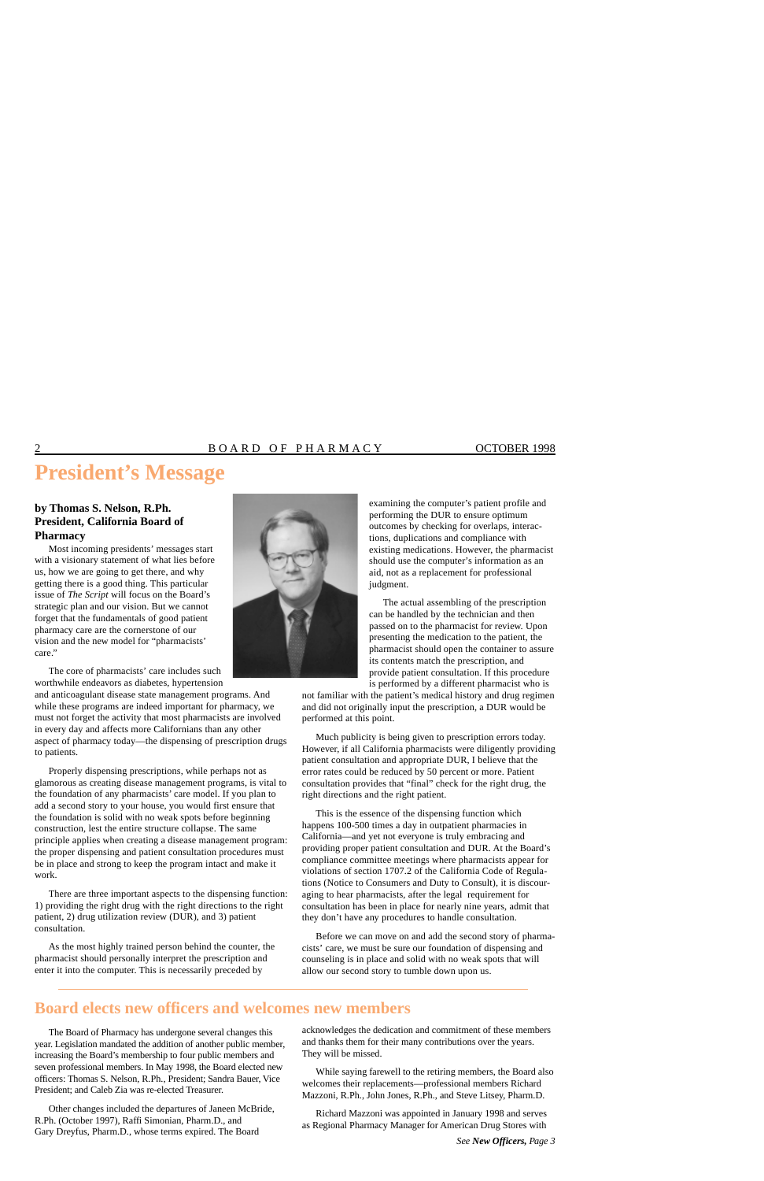## **President's Message**

### **by Thomas S. Nelson, R.Ph. President, California Board of Pharmacy**

Most incoming presidents' messages start with a visionary statement of what lies before us, how we are going to get there, and why getting there is a good thing. This particular issue of *The Script* will focus on the Board's strategic plan and our vision. But we cannot forget that the fundamentals of good patient pharmacy care are the cornerstone of our vision and the new model for "pharmacists' care."



The core of pharmacists' care includes such worthwhile endeavors as diabetes, hypertension

and anticoagulant disease state management programs. And while these programs are indeed important for pharmacy, we must not forget the activity that most pharmacists are involved in every day and affects more Californians than any other aspect of pharmacy today—the dispensing of prescription drugs to patients.

Properly dispensing prescriptions, while perhaps not as glamorous as creating disease management programs, is vital to the foundation of any pharmacists' care model. If you plan to add a second story to your house, you would first ensure that the foundation is solid with no weak spots before beginning construction, lest the entire structure collapse. The same principle applies when creating a disease management program: the proper dispensing and patient consultation procedures must be in place and strong to keep the program intact and make it work.

There are three important aspects to the dispensing function: 1) providing the right drug with the right directions to the right patient, 2) drug utilization review (DUR), and 3) patient consultation.

As the most highly trained person behind the counter, the pharmacist should personally interpret the prescription and enter it into the computer. This is necessarily preceded by

examining the computer's patient profile and performing the DUR to ensure optimum outcomes by checking for overlaps, interactions, duplications and compliance with existing medications. However, the pharmacist should use the computer's information as an aid, not as a replacement for professional judgment.

The actual assembling of the prescription can be handled by the technician and then passed on to the pharmacist for review. Upon presenting the medication to the patient, the pharmacist should open the container to assure its contents match the prescription, and provide patient consultation. If this procedure is performed by a different pharmacist who is

not familiar with the patient's medical history and drug regimen and did not originally input the prescription, a DUR would be performed at this point.

Much publicity is being given to prescription errors today. However, if all California pharmacists were diligently providing patient consultation and appropriate DUR, I believe that the error rates could be reduced by 50 percent or more. Patient consultation provides that "final" check for the right drug, the right directions and the right patient.

This is the essence of the dispensing function which happens 100-500 times a day in outpatient pharmacies in California—and yet not everyone is truly embracing and providing proper patient consultation and DUR. At the Board's compliance committee meetings where pharmacists appear for violations of section 1707.2 of the California Code of Regulations (Notice to Consumers and Duty to Consult), it is discouraging to hear pharmacists, after the legal requirement for consultation has been in place for nearly nine years, admit that they don't have any procedures to handle consultation.

Before we can move on and add the second story of pharmacists' care, we must be sure our foundation of dispensing and counseling is in place and solid with no weak spots that will allow our second story to tumble down upon us.

## **Board elects new officers and welcomes new members**

The Board of Pharmacy has undergone several changes this year. Legislation mandated the addition of another public member, increasing the Board's membership to four public members and seven professional members. In May 1998, the Board elected new officers: Thomas S. Nelson, R.Ph., President; Sandra Bauer, Vice President; and Caleb Zia was re-elected Treasurer.

Other changes included the departures of Janeen McBride,<br>
R.Ph. (October 1997), Raffi Simonian, Pharm.D., and<br>
Gary Dreyfus, Pharm.D., whose terms expired. The Board<br>
Gary Dreyfus, Pharm.D., whose terms expired. The Board

acknowledges the dedication and commitment of these members and thanks them for their many contributions over the years. They will be missed.

While saying farewell to the retiring members, the Board also welcomes their replacements—professional members Richard Mazzoni, R.Ph., John Jones, R.Ph., and Steve Litsey, Pharm.D.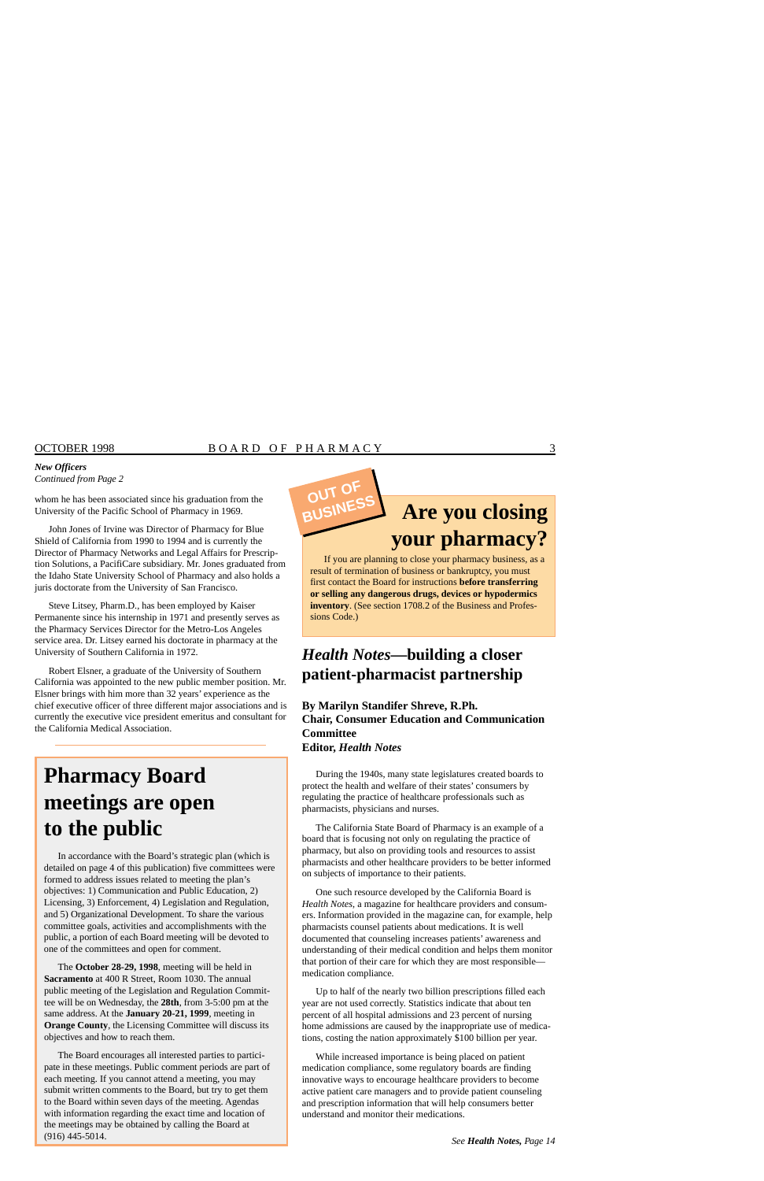#### *New Officers Continued from Page 2*

whom he has been associated since his graduation from the University of the Pacific School of Pharmacy in 1969.

John Jones of Irvine was Director of Pharmacy for Blue Shield of California from 1990 to 1994 and is currently the Director of Pharmacy Networks and Legal Affairs for Prescrip-<br>
Director of Pharmacy Networks and Legal Affairs for Prescrip-<br>
If you are planning to close your ph tion Solutions, a PacifiCare subsidiary. Mr. Jones graduated from If you are planning to close your pharmacy business, as a local of Pharmacy business, and also hald as a local of termination of business or bankruptcy, you the Idaho State University School of Pharmacy and also holds a juris doctorate from the University of San Francisco.

Steve Litsey, Pharm.D., has been employed by Kaiser Permanente since his internship in 1971 and presently serves as the Pharmacy Services Director for the Metro-Los Angeles service area. Dr. Litsey earned his doctorate in pharmacy at the University of Southern California in 1972.

Robert Elsner, a graduate of the University of Southern California was appointed to the new public member position. Mr. Elsner brings with him more than 32 years' experience as the chief executive officer of three different major associations and is currently the executive vice president emeritus and consultant for the California Medical Association.

# **Pharmacy Board meetings are open to the public**

In accordance with the Board's strategic plan (which is detailed on page 4 of this publication) five committees were formed to address issues related to meeting the plan's objectives: 1) Communication and Public Education, 2) Licensing, 3) Enforcement, 4) Legislation and Regulation, and 5) Organizational Development. To share the various committee goals, activities and accomplishments with the public, a portion of each Board meeting will be devoted to one of the committees and open for comment.

The **October 28-29, 1998**, meeting will be held in **Sacramento** at 400 R Street, Room 1030. The annual public meeting of the Legislation and Regulation Committee will be on Wednesday, the **28th**, from 3-5:00 pm at the same address. At the **January 20-21, 1999**, meeting in **Orange County**, the Licensing Committee will discuss its objectives and how to reach them.

The Board encourages all interested parties to participate in these meetings. Public comment periods are part of each meeting. If you cannot attend a meeting, you may submit written comments to the Board, but try to get them to the Board within seven days of the meeting. Agendas with information regarding the exact time and location of the meetings may be obtained by calling the Board at (916) 445-5014.

# **Are you closing BUSINESS**

first contact the Board for instructions **before transferring or selling any dangerous drugs, devices or hypodermics inventory**. (See section 1708.2 of the Business and Professions Code.)

## *Health Notes***—building a closer patient-pharmacist partnership**

**By Marilyn Standifer Shreve, R.Ph. Chair, Consumer Education and Communication Committee Editor,** *Health Notes* 

During the 1940s, many state legislatures created boards to protect the health and welfare of their states' consumers by regulating the practice of healthcare professionals such as pharmacists, physicians and nurses.

The California State Board of Pharmacy is an example of a board that is focusing not only on regulating the practice of pharmacy, but also on providing tools and resources to assist pharmacists and other healthcare providers to be better informed on subjects of importance to their patients.

One such resource developed by the California Board is *Health Notes*, a magazine for healthcare providers and consumers. Information provided in the magazine can, for example, help pharmacists counsel patients about medications. It is well documented that counseling increases patients' awareness and understanding of their medical condition and helps them monitor that portion of their care for which they are most responsible medication compliance.

Up to half of the nearly two billion prescriptions filled each year are not used correctly. Statistics indicate that about ten percent of all hospital admissions and 23 percent of nursing home admissions are caused by the inappropriate use of medications, costing the nation approximately \$100 billion per year.

While increased importance is being placed on patient medication compliance, some regulatory boards are finding innovative ways to encourage healthcare providers to become active patient care managers and to provide patient counseling and prescription information that will help consumers better understand and monitor their medications.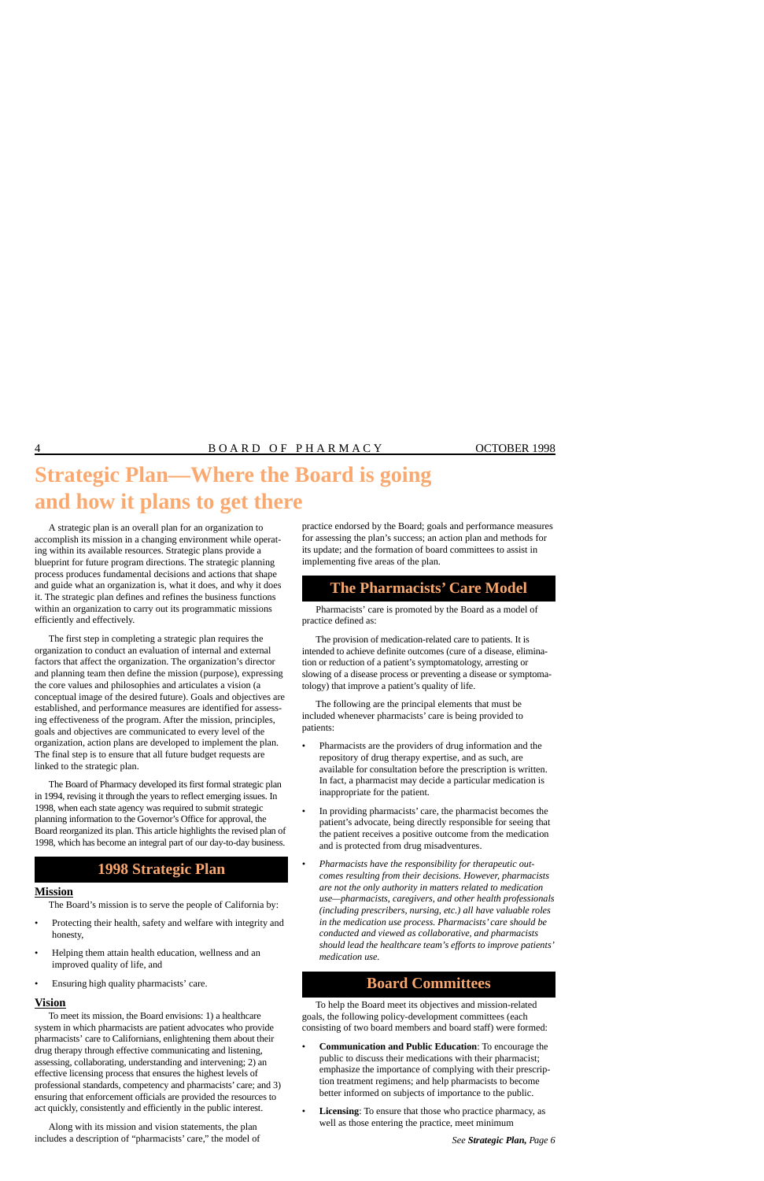# **Strategic Plan—Where the Board is going and how it plans to get there**

A strategic plan is an overall plan for an organization to accomplish its mission in a changing environment while operating within its available resources. Strategic plans provide a blueprint for future program directions. The strategic planning process produces fundamental decisions and actions that shape and guide what an organization is, what it does, and why it does it. The strategic plan defines and refines the business functions within an organization to carry out its programmatic missions efficiently and effectively.

The first step in completing a strategic plan requires the organization to conduct an evaluation of internal and external factors that affect the organization. The organization's director and planning team then define the mission (purpose), expressing the core values and philosophies and articulates a vision (a conceptual image of the desired future). Goals and objectives are established, and performance measures are identified for assessing effectiveness of the program. After the mission, principles, goals and objectives are communicated to every level of the organization, action plans are developed to implement the plan. The final step is to ensure that all future budget requests are linked to the strategic plan.

The Board of Pharmacy developed its first formal strategic plan in 1994, revising it through the years to reflect emerging issues. In 1998, when each state agency was required to submit strategic planning information to the Governor's Office for approval, the Board reorganized its plan. This article highlights the revised plan of 1998, which has become an integral part of our day-to-day business.

## **1998 Strategic Plan**

#### **Mission**

The Board's mission is to serve the people of California by:

- Protecting their health, safety and welfare with integrity and honesty,
- Helping them attain health education, wellness and an improved quality of life, and
- Ensuring high quality pharmacists' care.

#### **Vision**

To meet its mission, the Board envisions: 1) a healthcare system in which pharmacists are patient advocates who provide pharmacists' care to Californians, enlightening them about their drug therapy through effective communicating and listening, assessing, collaborating, understanding and intervening; 2) an effective licensing process that ensures the highest levels of professional standards, competency and pharmacists' care; and 3) ensuring that enforcement officials are provided the resources to act quickly, consistently and efficiently in the public interest.

Along with its mission and vision statements, the plan includes a description of "pharmacists' care," the model of practice endorsed by the Board; goals and performance measures for assessing the plan's success; an action plan and methods for its update; and the formation of board committees to assist in implementing five areas of the plan.

## **The Pharmacists' Care Model**

Pharmacists' care is promoted by the Board as a model of practice defined as:

The provision of medication-related care to patients. It is intended to achieve definite outcomes (cure of a disease, elimination or reduction of a patient's symptomatology, arresting or slowing of a disease process or preventing a disease or symptomatology) that improve a patient's quality of life.

The following are the principal elements that must be included whenever pharmacists' care is being provided to patients:

- Pharmacists are the providers of drug information and the repository of drug therapy expertise, and as such, are available for consultation before the prescription is written. In fact, a pharmacist may decide a particular medication is inappropriate for the patient.
- In providing pharmacists' care, the pharmacist becomes the patient's advocate, being directly responsible for seeing that the patient receives a positive outcome from the medication and is protected from drug misadventures.
- *Pharmacists have the responsibility for therapeutic outcomes resulting from their decisions. However, pharmacists are not the only authority in matters related to medication use—pharmacists, caregivers, and other health professionals (including prescribers, nursing, etc.) all have valuable roles in the medication use process. Pharmacists' care should be conducted and viewed as collaborative, and pharmacists should lead the healthcare team's efforts to improve patients' medication use.*

## **Board Committees**

To help the Board meet its objectives and mission-related goals, the following policy-development committees (each consisting of two board members and board staff) were formed:

- **Communication and Public Education**: To encourage the public to discuss their medications with their pharmacist; emphasize the importance of complying with their prescription treatment regimens; and help pharmacists to become better informed on subjects of importance to the public.
- **Licensing**: To ensure that those who practice pharmacy, as well as those entering the practice, meet minimum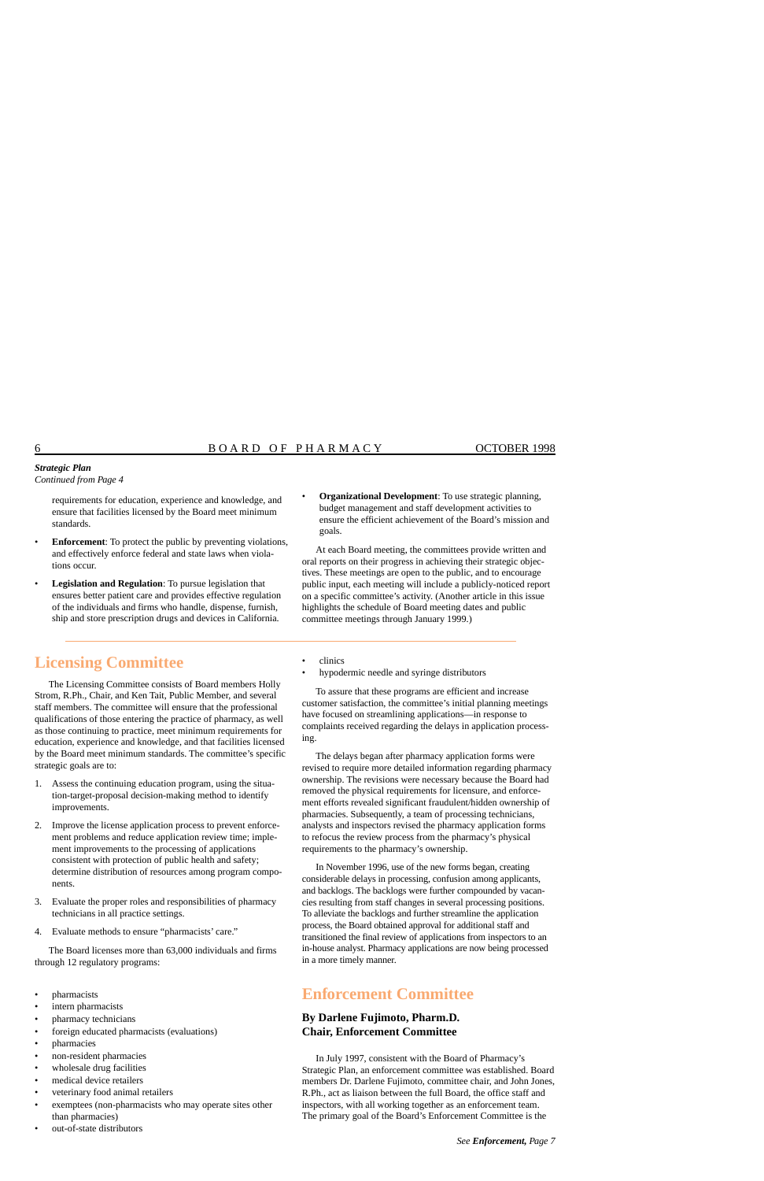#### *Strategic Plan Continued from Page 4*

requirements for education, experience and knowledge, and ensure that facilities licensed by the Board meet minimum standards.

- **Enforcement**: To protect the public by preventing violations, and effectively enforce federal and state laws when violations occur.
- **Legislation and Regulation**: To pursue legislation that ensures better patient care and provides effective regulation of the individuals and firms who handle, dispense, furnish, ship and store prescription drugs and devices in California.
- **Organizational Development**: To use strategic planning, budget management and staff development activities to ensure the efficient achievement of the Board's mission and goals.

At each Board meeting, the committees provide written and oral reports on their progress in achieving their strategic objectives. These meetings are open to the public, and to encourage public input, each meeting will include a publicly-noticed report on a specific committee's activity. (Another article in this issue highlights the schedule of Board meeting dates and public committee meetings through January 1999.)

**Licensing Committee** 

The Licensing Committee consists of Board members Holly Strom, R.Ph., Chair, and Ken Tait, Public Member, and several staff members. The committee will ensure that the professional qualifications of those entering the practice of pharmacy, as well as those continuing to practice, meet minimum requirements for education, experience and knowledge, and that facilities licensed by the Board meet minimum standards. The committee's specific strategic goals are to:

- 1. Assess the continuing education program, using the situation-target-proposal decision-making method to identify improvements.
- 2. Improve the license application process to prevent enforcement problems and reduce application review time; implement improvements to the processing of applications consistent with protection of public health and safety; determine distribution of resources among program components.
- 3. Evaluate the proper roles and responsibilities of pharmacy technicians in all practice settings.
- 4. Evaluate methods to ensure "pharmacists' care."

The Board licenses more than 63,000 individuals and firms through 12 regulatory programs:

- pharmacists
- intern pharmacists
- pharmacy technicians
- foreign educated pharmacists (evaluations)
- pharmacies
- non-resident pharmacies
- wholesale drug facilities
- medical device retailers
- veterinary food animal retailers
- exemptees (non-pharmacists who may operate sites other than pharmacies)
- out-of-state distributors
- clinics
- hypodermic needle and syringe distributors

To assure that these programs are efficient and increase customer satisfaction, the committee's initial planning meetings have focused on streamlining applications—in response to complaints received regarding the delays in application processing.

The delays began after pharmacy application forms were revised to require more detailed information regarding pharmacy ownership. The revisions were necessary because the Board had removed the physical requirements for licensure, and enforcement efforts revealed significant fraudulent/hidden ownership of pharmacies. Subsequently, a team of processing technicians, analysts and inspectors revised the pharmacy application forms to refocus the review process from the pharmacy's physical requirements to the pharmacy's ownership.

In November 1996, use of the new forms began, creating considerable delays in processing, confusion among applicants, and backlogs. The backlogs were further compounded by vacancies resulting from staff changes in several processing positions. To alleviate the backlogs and further streamline the application process, the Board obtained approval for additional staff and transitioned the final review of applications from inspectors to an in-house analyst. Pharmacy applications are now being processed in a more timely manner.

## **Enforcement Committee**

#### **By Darlene Fujimoto, Pharm.D. Chair, Enforcement Committee**

In July 1997, consistent with the Board of Pharmacy's Strategic Plan, an enforcement committee was established. Board members Dr. Darlene Fujimoto, committee chair, and John Jones, R.Ph., act as liaison between the full Board, the office staff and inspectors, with all working together as an enforcement team. The primary goal of the Board's Enforcement Committee is the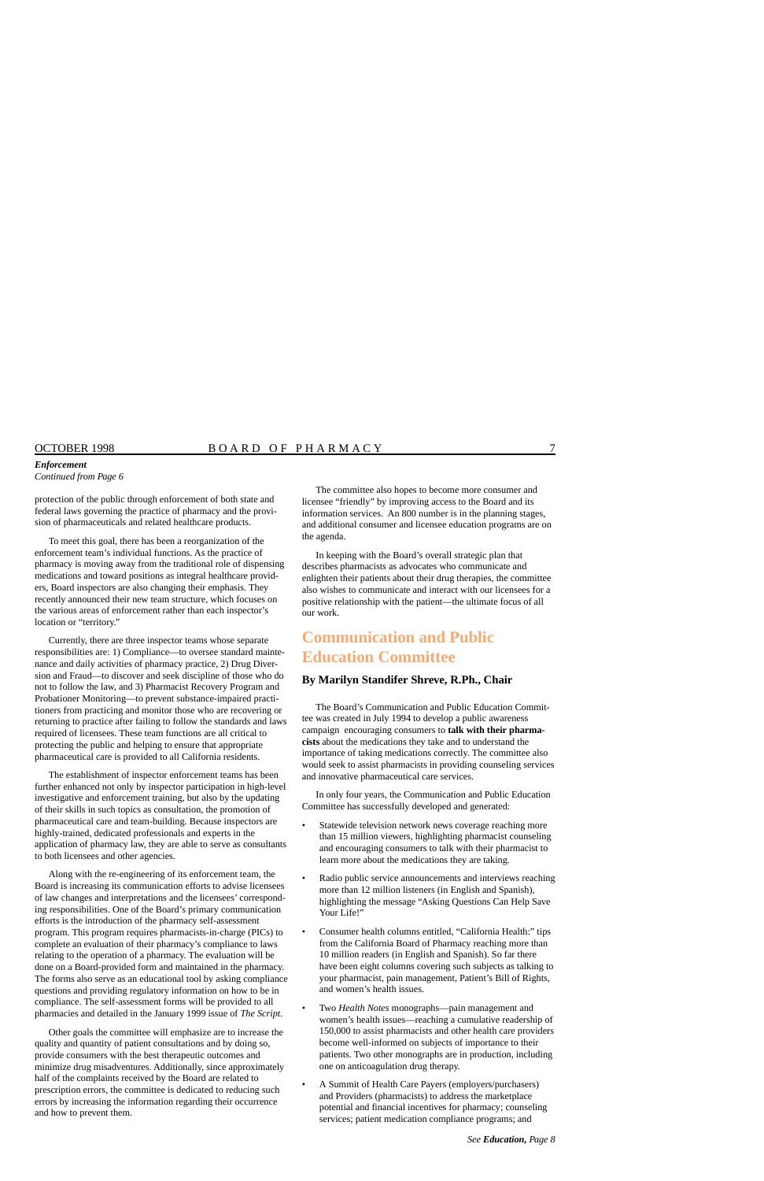#### *Enforcement*

*Continued from Page 6* 

protection of the public through enforcement of both state and federal laws governing the practice of pharmacy and the provision of pharmaceuticals and related healthcare products.

To meet this goal, there has been a reorganization of the enforcement team's individual functions. As the practice of pharmacy is moving away from the traditional role of dispensing medications and toward positions as integral healthcare providers, Board inspectors are also changing their emphasis. They recently announced their new team structure, which focuses on the various areas of enforcement rather than each inspector's location or "territory."

Currently, there are three inspector teams whose separate responsibilities are: 1) Compliance—to oversee standard maintenance and daily activities of pharmacy practice, 2) Drug Diversion and Fraud—to discover and seek discipline of those who do not to follow the law, and 3) Pharmacist Recovery Program and Probationer Monitoring—to prevent substance-impaired practitioners from practicing and monitor those who are recovering or returning to practice after failing to follow the standards and laws required of licensees. These team functions are all critical to protecting the public and helping to ensure that appropriate pharmaceutical care is provided to all California residents.

The establishment of inspector enforcement teams has been further enhanced not only by inspector participation in high-level investigative and enforcement training, but also by the updating of their skills in such topics as consultation, the promotion of pharmaceutical care and team-building. Because inspectors are highly-trained, dedicated professionals and experts in the application of pharmacy law, they are able to serve as consultants to both licensees and other agencies.

Along with the re-engineering of its enforcement team, the Board is increasing its communication efforts to advise licensees of law changes and interpretations and the licensees' corresponding responsibilities. One of the Board's primary communication efforts is the introduction of the pharmacy self-assessment program. This program requires pharmacists-in-charge (PICs) to complete an evaluation of their pharmacy's compliance to laws relating to the operation of a pharmacy. The evaluation will be done on a Board-provided form and maintained in the pharmacy. The forms also serve as an educational tool by asking compliance questions and providing regulatory information on how to be in compliance. The self-assessment forms will be provided to all pharmacies and detailed in the January 1999 issue of *The Script*.

Other goals the committee will emphasize are to increase the quality and quantity of patient consultations and by doing so, provide consumers with the best therapeutic outcomes and minimize drug misadventures. Additionally, since approximately half of the complaints received by the Board are related to prescription errors, the committee is dedicated to reducing such errors by increasing the information regarding their occurrence and how to prevent them.

The committee also hopes to become more consumer and licensee "friendly" by improving access to the Board and its information services. An 800 number is in the planning stages, and additional consumer and licensee education programs are on the agenda.

In keeping with the Board's overall strategic plan that describes pharmacists as advocates who communicate and enlighten their patients about their drug therapies, the committee also wishes to communicate and interact with our licensees for a positive relationship with the patient—the ultimate focus of all our work.

## **Communication and Public Education Committee**

#### **By Marilyn Standifer Shreve, R.Ph., Chair**

The Board's Communication and Public Education Committee was created in July 1994 to develop a public awareness campaign encouraging consumers to **talk with their pharmacists** about the medications they take and to understand the importance of taking medications correctly. The committee also would seek to assist pharmacists in providing counseling services and innovative pharmaceutical care services.

In only four years, the Communication and Public Education Committee has successfully developed and generated:

- Statewide television network news coverage reaching more than 15 million viewers, highlighting pharmacist counseling and encouraging consumers to talk with their pharmacist to learn more about the medications they are taking.
- Radio public service announcements and interviews reaching more than 12 million listeners (in English and Spanish), highlighting the message "Asking Questions Can Help Save Your Life!"
- Consumer health columns entitled, "California Health:" tips from the California Board of Pharmacy reaching more than 10 million readers (in English and Spanish). So far there have been eight columns covering such subjects as talking to your pharmacist, pain management, Patient's Bill of Rights, and women's health issues.
- Two *Health Notes* monographs—pain management and women's health issues—reaching a cumulative readership of 150,000 to assist pharmacists and other health care providers become well-informed on subjects of importance to their patients. Two other monographs are in production, including one on anticoagulation drug therapy.
- A Summit of Health Care Payers (employers/purchasers) and Providers (pharmacists) to address the marketplace potential and financial incentives for pharmacy; counseling services; patient medication compliance programs; and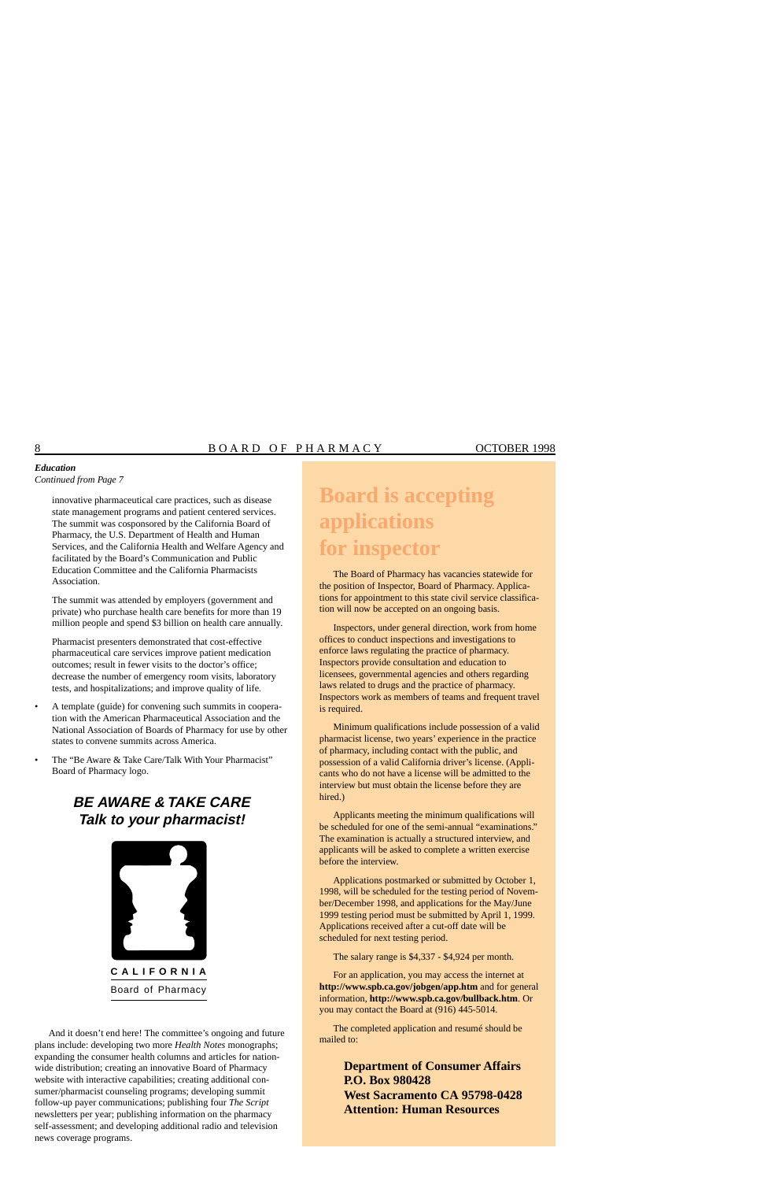#### *Education Continued from Page 7*

innovative pharmaceutical care practices, such as disease state management programs and patient centered services. The summit was cosponsored by the California Board of Pharmacy, the U.S. Department of Health and Human Services, and the California Health and Welfare Agency and facilitated by the Board's Communication and Public Education Committee and the California Pharmacists **Association** 

The summit was attended by employers (government and private) who purchase health care benefits for more than 19 million people and spend \$3 billion on health care annually.

Pharmacist presenters demonstrated that cost-effective pharmaceutical care services improve patient medication outcomes; result in fewer visits to the doctor's office; decrease the number of emergency room visits, laboratory tests, and hospitalizations; and improve quality of life.

- A template (guide) for convening such summits in cooperation with the American Pharmaceutical Association and the National Association of Boards of Pharmacy for use by other states to convene summits across America.
- The "Be Aware & Take Care/Talk With Your Pharmacist" Board of Pharmacy logo.

## **BE AWARE & TAKE CARE Talk to your pharmacist!**



And it doesn't end here! The committee's ongoing and future plans include: developing two more *Health Notes* monographs; expanding the consumer health columns and articles for nationwide distribution; creating an innovative Board of Pharmacy website with interactive capabilities; creating additional consumer/pharmacist counseling programs; developing summit follow-up payer communications; publishing four *The Script*  newsletters per year; publishing information on the pharmacy self-assessment; and developing additional radio and television news coverage programs.

# **Board is accepting applications for inspector**

The Board of Pharmacy has vacancies statewide for the position of Inspector, Board of Pharmacy. Applications for appointment to this state civil service classification will now be accepted on an ongoing basis.

Inspectors, under general direction, work from home offices to conduct inspections and investigations to enforce laws regulating the practice of pharmacy. Inspectors provide consultation and education to licensees, governmental agencies and others regarding laws related to drugs and the practice of pharmacy. Inspectors work as members of teams and frequent travel is required.

Minimum qualifications include possession of a valid pharmacist license, two years' experience in the practice of pharmacy, including contact with the public, and possession of a valid California driver's license. (Applicants who do not have a license will be admitted to the interview but must obtain the license before they are hired.)

Applicants meeting the minimum qualifications will be scheduled for one of the semi-annual "examinations." The examination is actually a structured interview, and applicants will be asked to complete a written exercise before the interview.

Applications postmarked or submitted by October 1, 1998, will be scheduled for the testing period of November/December 1998, and applications for the May/June 1999 testing period must be submitted by April 1, 1999. Applications received after a cut-off date will be scheduled for next testing period.

The salary range is \$4,337 - \$4,924 per month.

For an application, you may access the internet at **<http://www.spb.ca.gov/jobgen/app.htm>** and for general information, **<http://www.spb.ca.gov/bullback.htm>**. Or you may contact the Board at (916) 445-5014.

The completed application and resumé should be mailed to:

> **Department of Consumer Affairs P.O. Box 980428 West Sacramento CA 95798-0428 Attention: Human Resources**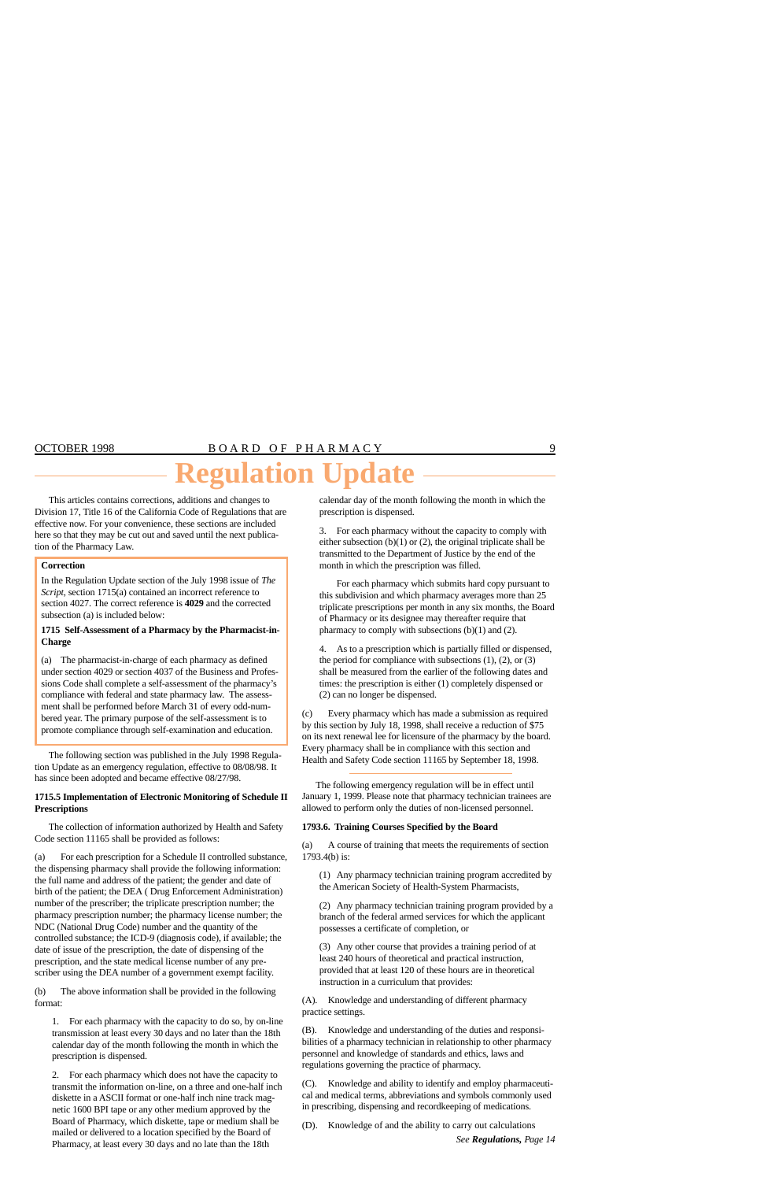# **Regulation Update**

This articles contains corrections, additions and changes to Division 17, Title 16 of the California Code of Regulations that are effective now. For your convenience, these sections are included here so that they may be cut out and saved until the next publication of the Pharmacy Law.

#### **Correction**

In the Regulation Update section of the July 1998 issue of *The Script*, section 1715(a) contained an incorrect reference to section 4027. The correct reference is **4029** and the corrected subsection (a) is included below:

#### **1715 Self-Assessment of a Pharmacy by the Pharmacist-in-Charge**

 compliance with federal and state pharmacy law. The assess-(a) The pharmacist-in-charge of each pharmacy as defined under section 4029 or section 4037 of the Business and Professions Code shall complete a self-assessment of the pharmacy's ment shall be performed before March 31 of every odd-numbered year. The primary purpose of the self-assessment is to promote compliance through self-examination and education.

The following section was published in the July 1998 Regulation Update as an emergency regulation, effective to 08/08/98. It has since been adopted and became effective 08/27/98.

#### **1715.5 Implementation of Electronic Monitoring of Schedule II Prescriptions**

The collection of information authorized by Health and Safety Code section 11165 shall be provided as follows:

(a) For each prescription for a Schedule II controlled substance, the dispensing pharmacy shall provide the following information: the full name and address of the patient; the gender and date of birth of the patient; the DEA ( Drug Enforcement Administration) number of the prescriber; the triplicate prescription number; the pharmacy prescription number; the pharmacy license number; the NDC (National Drug Code) number and the quantity of the controlled substance; the ICD-9 (diagnosis code), if available; the date of issue of the prescription, the date of dispensing of the prescription, and the state medical license number of any prescriber using the DEA number of a government exempt facility.

(b) The above information shall be provided in the following format:

1. For each pharmacy with the capacity to do so, by on-line transmission at least every 30 days and no later than the 18th calendar day of the month following the month in which the prescription is dispensed.

2. For each pharmacy which does not have the capacity to transmit the information on-line, on a three and one-half inch diskette in a ASCII format or one-half inch nine track magnetic 1600 BPI tape or any other medium approved by the Board of Pharmacy, which diskette, tape or medium shall be mailed or delivered to a location specified by the Board of Pharmacy, at least every 30 days and no late than the 18th

calendar day of the month following the month in which the prescription is dispensed.

3. For each pharmacy without the capacity to comply with either subsection  $(b)(1)$  or  $(2)$ , the original triplicate shall be transmitted to the Department of Justice by the end of the month in which the prescription was filled.

For each pharmacy which submits hard copy pursuant to this subdivision and which pharmacy averages more than 25 triplicate prescriptions per month in any six months, the Board of Pharmacy or its designee may thereafter require that pharmacy to comply with subsections (b)(1) and (2).

4. As to a prescription which is partially filled or dispensed, the period for compliance with subsections  $(1)$ ,  $(2)$ , or  $(3)$ shall be measured from the earlier of the following dates and times: the prescription is either (1) completely dispensed or (2) can no longer be dispensed.

(c) Every pharmacy which has made a submission as required by this section by July 18, 1998, shall receive a reduction of \$75 on its next renewal lee for licensure of the pharmacy by the board. Every pharmacy shall be in compliance with this section and Health and Safety Code section 11165 by September 18, 1998.

The following emergency regulation will be in effect until January 1, 1999. Please note that pharmacy technician trainees are allowed to perform only the duties of non-licensed personnel.

#### **1793.6. Training Courses Specified by the Board**

(a) A course of training that meets the requirements of section 1793.4(b) is:

(1) Any pharmacy technician training program accredited by the American Society of Health-System Pharmacists,

(2) Any pharmacy technician training program provided by a branch of the federal armed services for which the applicant possesses a certificate of completion, or

(3) Any other course that provides a training period of at least 240 hours of theoretical and practical instruction, provided that at least 120 of these hours are in theoretical instruction in a curriculum that provides:

(A). Knowledge and understanding of different pharmacy practice settings.

(B). Knowledge and understanding of the duties and responsibilities of a pharmacy technician in relationship to other pharmacy personnel and knowledge of standards and ethics, laws and regulations governing the practice of pharmacy.

(C). Knowledge and ability to identify and employ pharmaceutical and medical terms, abbreviations and symbols commonly used in prescribing, dispensing and recordkeeping of medications.

(D). Knowledge of and the ability to carry out calculations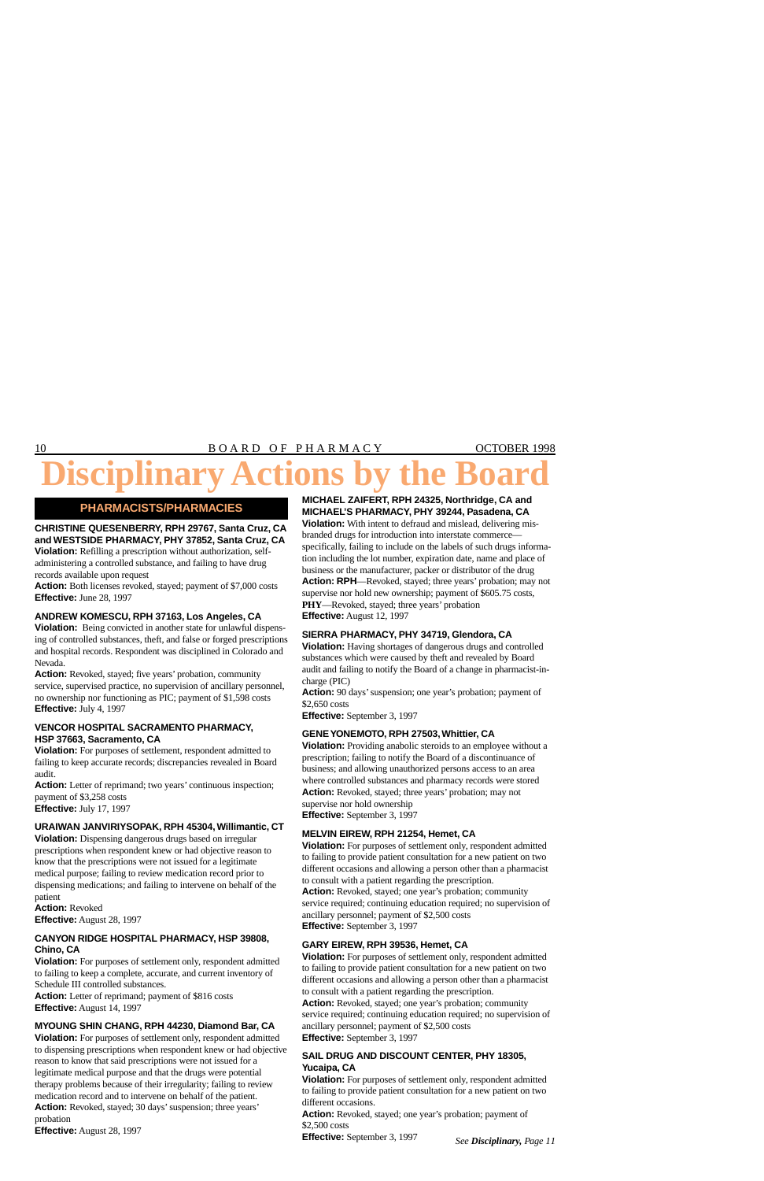# **isciplina**

### **PHARMACISTS/PHARMACIES**

#### **CHRISTINE QUESENBERRY, RPH 29767, Santa Cruz, CA and WESTSIDE PHARMACY, PHY 37852, Santa Cruz, CA**

**Violation:** Refilling a prescription without authorization, selfadministering a controlled substance, and failing to have drug records available upon request

**Action:** Both licenses revoked, stayed; payment of \$7,000 costs **Effective:** June 28, 1997

#### **ANDREW KOMESCU, RPH 37163, Los Angeles, CA**

**Violation:** Being convicted in another state for unlawful dispensing of controlled substances, theft, and false or forged prescriptions and hospital records. Respondent was disciplined in Colorado and Nevada.

**Action:** Revoked, stayed; five years' probation, community service, supervised practice, no supervision of ancillary personnel, no ownership nor functioning as PIC; payment of \$1,598 costs **Effective:** July 4, 1997

#### **VENCOR HOSPITAL SACRAMENTO PHARMACY, HSP 37663, Sacramento, CA**

**Violation:** For purposes of settlement, respondent admitted to failing to keep accurate records; discrepancies revealed in Board audit.

**Action:** Letter of reprimand; two years' continuous inspection; payment of \$3,258 costs **Effective:** July 17, 1997

#### **URAIWAN JANVIRIYSOPAK, RPH 45304, Willimantic, CT**

**Violation:** Dispensing dangerous drugs based on irregular prescriptions when respondent knew or had objective reason to know that the prescriptions were not issued for a legitimate medical purpose; failing to review medication record prior to dispensing medications; and failing to intervene on behalf of the patient

**Action:** Revoked **Effective:** August 28, 1997

#### **CANYON RIDGE HOSPITAL PHARMACY, HSP 39808, Chino, CA**

**Violation:** For purposes of settlement only, respondent admitted to failing to keep a complete, accurate, and current inventory of Schedule III controlled substances.

**Action:** Letter of reprimand; payment of \$816 costs **Effective:** August 14, 1997

#### **MYOUNG SHIN CHANG, RPH 44230, Diamond Bar, CA**

**Violation:** For purposes of settlement only, respondent admitted to dispensing prescriptions when respondent knew or had objective reason to know that said prescriptions were not issued for a legitimate medical purpose and that the drugs were potential therapy problems because of their irregularity; failing to review medication record and to intervene on behalf of the patient.

**Action:** Revoked, stayed; 30 days' suspension; three years' probation

**Effective:** August 28, 1997

#### **MICHAEL ZAIFERT, RPH 24325, Northridge, CA and MICHAEL'S PHARMACY, PHY 39244, Pasadena, CA**

**Violation:** With intent to defraud and mislead, delivering misbranded drugs for introduction into interstate commerce specifically, failing to include on the labels of such drugs information including the lot number, expiration date, name and place of business or the manufacturer, packer or distributor of the drug **Action: RPH**—Revoked, stayed; three years' probation; may not supervise nor hold new ownership; payment of \$605.75 costs, **PHY**—Revoked, stayed; three years' probation **Effective:** August 12, 1997

#### **SIERRA PHARMACY, PHY 34719, Glendora, CA**

**Violation:** Having shortages of dangerous drugs and controlled substances which were caused by theft and revealed by Board audit and failing to notify the Board of a change in pharmacist-incharge (PIC)

**Action:** 90 days' suspension; one year's probation; payment of \$2,650 costs

**Effective:** September 3, 1997

#### **GENE YONEMOTO, RPH 27503, Whittier, CA**

**Violation:** Providing anabolic steroids to an employee without a prescription; failing to notify the Board of a discontinuance of business; and allowing unauthorized persons access to an area where controlled substances and pharmacy records were stored Action: Revoked, stayed; three years' probation; may not supervise nor hold ownership **Effective:** September 3, 1997

**MELVIN EIREW, RPH 21254, Hemet, CA** 

#### **Violation:** For purposes of settlement only, respondent admitted to failing to provide patient consultation for a new patient on two different occasions and allowing a person other than a pharmacist to consult with a patient regarding the prescription.

**Action:** Revoked, stayed; one year's probation; community service required; continuing education required; no supervision of ancillary personnel; payment of \$2,500 costs **Effective:** September 3, 1997

#### **GARY EIREW, RPH 39536, Hemet, CA**

**Violation:** For purposes of settlement only, respondent admitted to failing to provide patient consultation for a new patient on two different occasions and allowing a person other than a pharmacist to consult with a patient regarding the prescription.

**Action:** Revoked, stayed; one year's probation; community service required; continuing education required; no supervision of ancillary personnel; payment of \$2,500 costs **Effective:** September 3, 1997

#### **SAIL DRUG AND DISCOUNT CENTER, PHY 18305, Yucaipa, CA**

**Violation:** For purposes of settlement only, respondent admitted to failing to provide patient consultation for a new patient on two different occasions.

**Action:** Revoked, stayed; one year's probation; payment of \$2,500 costs

**Effective:** September 3, 1997 *See Disciplinary, Page 11*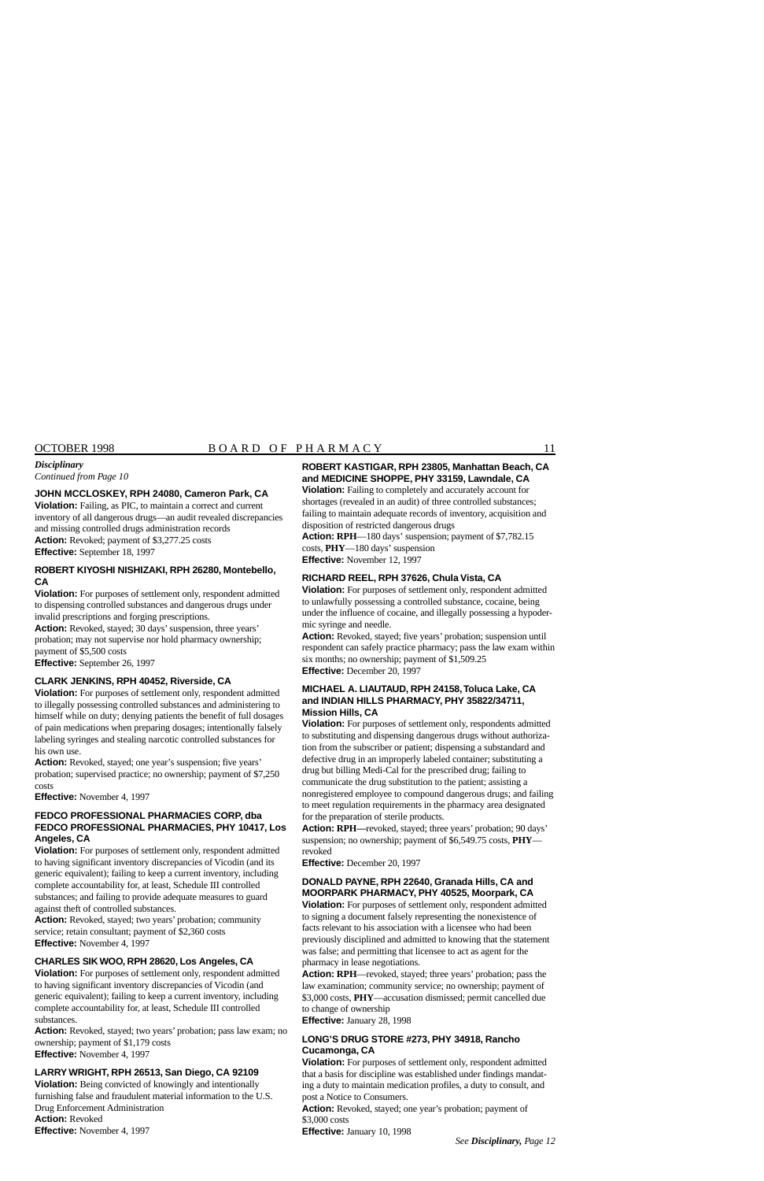*Continued from Page 10* 

#### **JOHN MCCLOSKEY, RPH 24080, Cameron Park, CA**

**Violation:** Failing, as PIC, to maintain a correct and current inventory of all dangerous drugs—an audit revealed discrepancies and missing controlled drugs administration records **Action:** Revoked; payment of [\\$3,277.25](https://3,277.25) costs **Effective:** September 18, 1997

#### **ROBERT KIYOSHI NISHIZAKI, RPH 26280, Montebello, CA**

**Violation:** For purposes of settlement only, respondent admitted to dispensing controlled substances and dangerous drugs under invalid prescriptions and forging prescriptions.

**Action:** Revoked, stayed; 30 days' suspension, three years' probation; may not supervise nor hold pharmacy ownership; payment of \$5,500 costs

**Effective:** September 26, 1997

#### **CLARK JENKINS, RPH 40452, Riverside, CA**

**Violation:** For purposes of settlement only, respondent admitted to illegally possessing controlled substances and administering to himself while on duty; denying patients the benefit of full dosages of pain medications when preparing dosages; intentionally falsely labeling syringes and stealing narcotic controlled substances for his own use.

**Action:** Revoked, stayed; one year's suspension; five years' probation; supervised practice; no ownership; payment of \$7,250 costs

**Effective:** November 4, 1997

#### **FEDCO PROFESSIONAL PHARMACIES CORP, dba FEDCO PROFESSIONAL PHARMACIES, PHY 10417, Los Angeles, CA**

**Violation:** For purposes of settlement only, respondent admitted to having significant inventory discrepancies of Vicodin (and its generic equivalent); failing to keep a current inventory, including complete accountability for, at least, Schedule III controlled substances; and failing to provide adequate measures to guard against theft of controlled substances.

**Action:** Revoked, stayed; two years' probation; community service; retain consultant; payment of \$2,360 costs **Effective:** November 4, 1997

#### **CHARLES SIK WOO, RPH 28620, Los Angeles, CA**

**Violation:** For purposes of settlement only, respondent admitted to having significant inventory discrepancies of Vicodin (and generic equivalent); failing to keep a current inventory, including complete accountability for, at least, Schedule III controlled substances.

**Action:** Revoked, stayed; two years' probation; pass law exam; no ownership; payment of \$1,179 costs **Effective:** November 4, 1997

#### **LARRY WRIGHT, RPH 26513, San Diego, CA 92109**

**Violation:** Being convicted of knowingly and intentionally furnishing false and fraudulent material information to the U.S. Drug Enforcement Administration **Action:** Revoked **Effective:** November 4, 1997

#### **ROBERT KASTIGAR, RPH 23805, Manhattan Beach, CA and MEDICINE SHOPPE, PHY 33159, Lawndale, CA**

**Violation:** Failing to completely and accurately account for shortages (revealed in an audit) of three controlled substances; failing to maintain adequate records of inventory, acquisition and disposition of restricted dangerous drugs

**Action: RPH—180 days' suspension; payment of \$7,782.15** costs, **PHY**—180 days' suspension **Effective:** November 12, 1997

#### **RICHARD REEL, RPH 37626, Chula Vista, CA**

**Violation:** For purposes of settlement only, respondent admitted to unlawfully possessing a controlled substance, cocaine, being under the influence of cocaine, and illegally possessing a hypodermic syringe and needle.

**Action:** Revoked, stayed; five years' probation; suspension until respondent can safely practice pharmacy; pass the law exam within six months; no ownership; payment of [\\$1,509.25](https://1,509.25) **Effective:** December 20, 1997

#### **MICHAEL A. LIAUTAUD, RPH 24158,Toluca Lake, CA and INDIAN HILLS PHARMACY, PHY 35822/34711, Mission Hills, CA**

**Violation:** For purposes of settlement only, respondents admitted to substituting and dispensing dangerous drugs without authorization from the subscriber or patient; dispensing a substandard and defective drug in an improperly labeled container; substituting a drug but billing Medi-Cal for the prescribed drug; failing to communicate the drug substitution to the patient; assisting a nonregistered employee to compound dangerous drugs; and failing to meet regulation requirements in the pharmacy area designated for the preparation of sterile products.

**Action: RPH—**revoked, stayed; three years' probation; 90 days' suspension; no ownership; payment of \$[6,549.75](https://6,549.75) costs, **PHY** revoked

**Effective:** December 20, 1997

#### **DONALD PAYNE, RPH 22640, Granada Hills, CA and MOORPARK PHARMACY, PHY 40525, Moorpark, CA**

**Violation:** For purposes of settlement only, respondent admitted to signing a document falsely representing the nonexistence of facts relevant to his association with a licensee who had been previously disciplined and admitted to knowing that the statement was false; and permitting that licensee to act as agent for the pharmacy in lease negotiations.

**Action: RPH**—revoked, stayed; three years' probation; pass the law examination; community service; no ownership; payment of \$3,000 costs, **PHY**—accusation dismissed; permit cancelled due to change of ownership

**Effective:** January 28, 1998

#### **LONG'S DRUG STORE #273, PHY 34918, Rancho Cucamonga, CA**

**Violation:** For purposes of settlement only, respondent admitted that a basis for discipline was established under findings mandating a duty to maintain medication profiles, a duty to consult, and post a Notice to Consumers.

**Action:** Revoked, stayed; one year's probation; payment of \$3,000 costs

**Effective:** January 10, 1998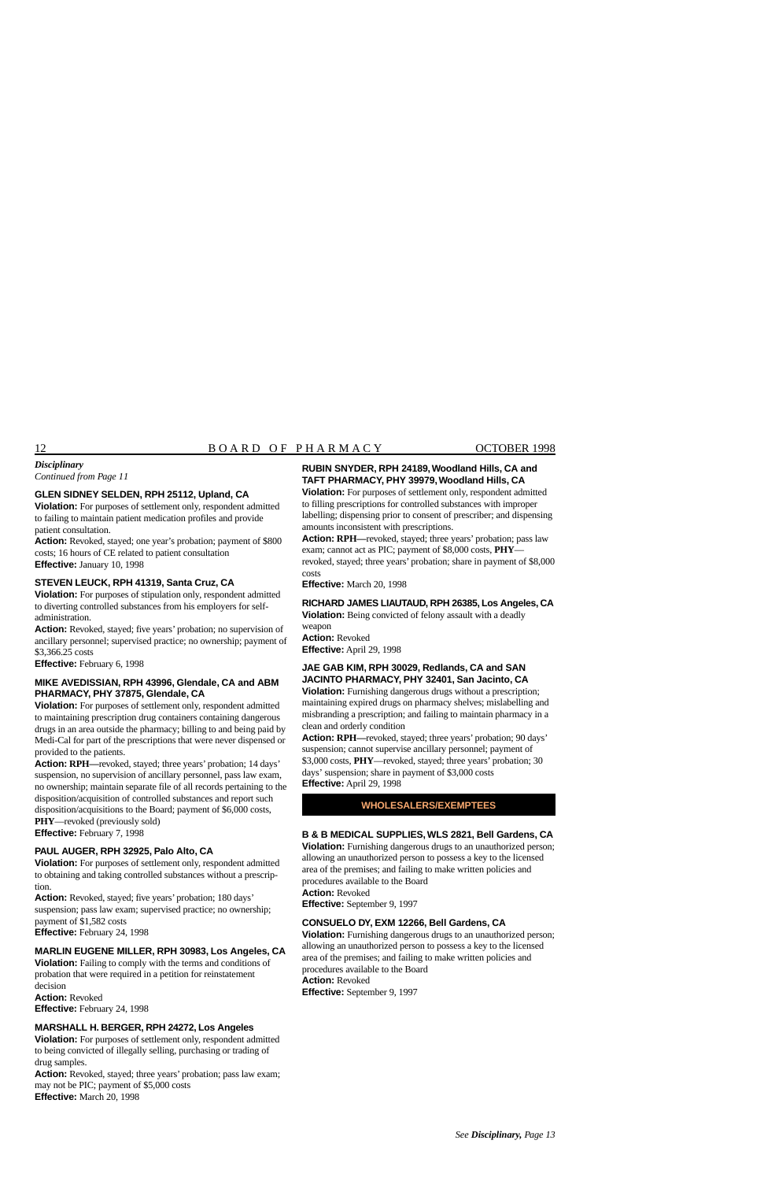#### *Disciplinary*

*Continued from Page 11* 

#### **GLEN SIDNEY SELDEN, RPH 25112, Upland, CA**

**Violation:** For purposes of settlement only, respondent admitted to failing to maintain patient medication profiles and provide patient consultation.

**Action:** Revoked, stayed; one year's probation; payment of \$800 costs; 16 hours of CE related to patient consultation **Effective:** January 10, 1998

#### **STEVEN LEUCK, RPH 41319, Santa Cruz, CA**

**Violation:** For purposes of stipulation only, respondent admitted to diverting controlled substances from his employers for selfadministration.

**Action:** Revoked, stayed; five years' probation; no supervision of ancillary personnel; supervised practice; no ownership; payment of \$[3,366.25](https://3,366.25) costs

**Effective:** February 6, 1998

#### **MIKE AVEDISSIAN, RPH 43996, Glendale, CA and ABM PHARMACY, PHY 37875, Glendale, CA**

**Violation:** For purposes of settlement only, respondent admitted to maintaining prescription drug containers containing dangerous drugs in an area outside the pharmacy; billing to and being paid by Medi-Cal for part of the prescriptions that were never dispensed or provided to the patients.

**Action: RPH—**revoked, stayed; three years' probation; 14 days' suspension, no supervision of ancillary personnel, pass law exam, no ownership; maintain separate file of all records pertaining to the disposition/acquisition of controlled substances and report such disposition/acquisitions to the Board; payment of \$6,000 costs, **PHY**—revoked (previously sold)

**Effective:** February 7, 1998

#### **PAUL AUGER, RPH 32925, Palo Alto, CA**

**Violation:** For purposes of settlement only, respondent admitted to obtaining and taking controlled substances without a prescription.

**Action:** Revoked, stayed; five years' probation; 180 days' suspension; pass law exam; supervised practice; no ownership; payment of \$1,582 costs

**Effective:** February 24, 1998

#### **MARLIN EUGENE MILLER, RPH 30983, Los Angeles, CA**

**Violation:** Failing to comply with the terms and conditions of probation that were required in a petition for reinstatement decision **Action:** Revoked

**Effective:** February 24, 1998

#### **MARSHALL H. BERGER, RPH 24272, Los Angeles**

**Violation:** For purposes of settlement only, respondent admitted to being convicted of illegally selling, purchasing or trading of drug samples.

**Action:** Revoked, stayed; three years' probation; pass law exam; may not be PIC; payment of \$5,000 costs **Effective:** March 20, 1998

#### **RUBIN SNYDER, RPH 24189, Woodland Hills, CA and TAFT PHARMACY, PHY 39979, Woodland Hills, CA**

**Violation:** For purposes of settlement only, respondent admitted to filling prescriptions for controlled substances with improper labelling; dispensing prior to consent of prescriber; and dispensing amounts inconsistent with prescriptions.

**Action: RPH—**revoked, stayed; three years' probation; pass law exam; cannot act as PIC; payment of \$8,000 costs, **PHY** revoked, stayed; three years' probation; share in payment of \$8,000 costs

**Effective:** March 20, 1998

**RICHARD JAMES LIAUTAUD, RPH 26385, Los Angeles, CA** 

**Violation:** Being convicted of felony assault with a deadly weapon

**Action:** Revoked **Effective:** April 29, 1998

#### **JAE GAB KIM, RPH 30029, Redlands, CA and SAN JACINTO PHARMACY, PHY 32401, San Jacinto, CA**

**Violation:** Furnishing dangerous drugs without a prescription; maintaining expired drugs on pharmacy shelves; mislabelling and misbranding a prescription; and failing to maintain pharmacy in a clean and orderly condition

**Action: RPH—**revoked, stayed; three years' probation; 90 days' suspension; cannot supervise ancillary personnel; payment of \$3,000 costs, **PHY**—revoked, stayed; three years' probation; 30 days' suspension; share in payment of \$3,000 costs **Effective:** April 29, 1998

#### **WHOLESALERS/EXEMPTEES**

#### **B & B MEDICAL SUPPLIES, WLS 2821, Bell Gardens, CA**

**Violation:** Furnishing dangerous drugs to an unauthorized person; allowing an unauthorized person to possess a key to the licensed area of the premises; and failing to make written policies and procedures available to the Board **Action:** Revoked

**Effective:** September 9, 1997

#### **CONSUELO DY, EXM 12266, Bell Gardens, CA**

**Violation:** Furnishing dangerous drugs to an unauthorized person; allowing an unauthorized person to possess a key to the licensed area of the premises; and failing to make written policies and procedures available to the Board **Action:** Revoked **Effective:** September 9, 1997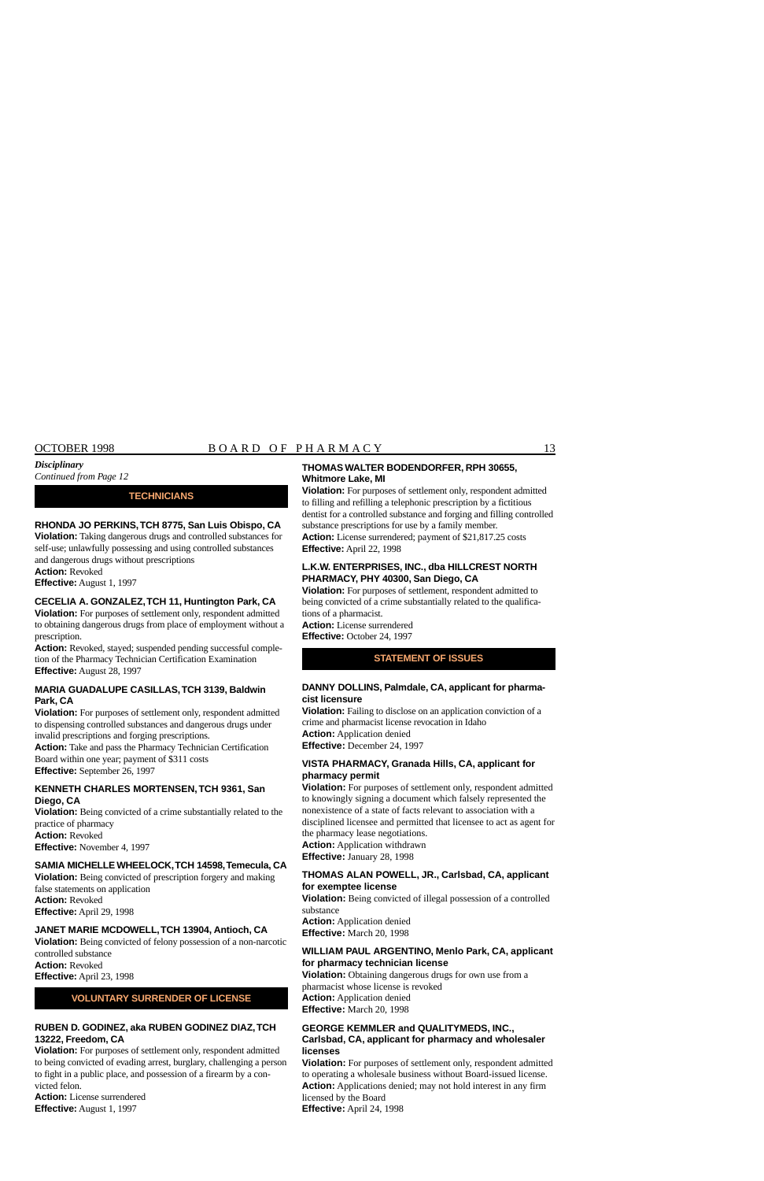#### *Continued from Page 12*

#### **TECHNICIANS**

#### **RHONDA JO PERKINS,TCH 8775, San Luis Obispo, CA**

**Violation:** Taking dangerous drugs and controlled substances for self-use; unlawfully possessing and using controlled substances and dangerous drugs without prescriptions

**Action:** Revoked

**Effective:** August 1, 1997

#### **CECELIA A. GONZALEZ,TCH 11, Huntington Park, CA**

**Violation:** For purposes of settlement only, respondent admitted to obtaining dangerous drugs from place of employment without a prescription.

**Action:** Revoked, stayed; suspended pending successful completion of the Pharmacy Technician Certification Examination **Effective:** August 28, 1997

#### **MARIA GUADALUPE CASILLAS,TCH 3139, Baldwin Park, CA**

**Violation:** For purposes of settlement only, respondent admitted to dispensing controlled substances and dangerous drugs under invalid prescriptions and forging prescriptions.

**Action:** Take and pass the Pharmacy Technician Certification Board within one year; payment of \$311 costs **Effective:** September 26, 1997

#### **KENNETH CHARLES MORTENSEN,TCH 9361, San Diego, CA**

**Violation:** Being convicted of a crime substantially related to the practice of pharmacy **Action:** Revoked **Effective:** November 4, 1997

#### **SAMIA MICHELLE WHEELOCK,TCH 14598,Temecula, CA**

**Violation:** Being convicted of prescription forgery and making false statements on application **Action:** Revoked

**Effective:** April 29, 1998

#### **JANET MARIE MCDOWELL,TCH 13904, Antioch, CA**

**Violation:** Being convicted of felony possession of a non-narcotic controlled substance **Action:** Revoked **Effective:** April 23, 1998

#### **VOLUNTARY SURRENDER OF LICENSE**

#### **RUBEN D. GODINEZ, aka RUBEN GODINEZ DIAZ,TCH 13222, Freedom, CA**

**Violation:** For purposes of settlement only, respondent admitted to being convicted of evading arrest, burglary, challenging a person to fight in a public place, and possession of a firearm by a convicted felon.

**Action:** License surrendered **Effective:** August 1, 1997

#### **THOMAS WALTER BODENDORFER, RPH 30655, Whitmore Lake, MI**

**Violation:** For purposes of settlement only, respondent admitted to filling and refilling a telephonic prescription by a fictitious dentist for a controlled substance and forging and filling controlled substance prescriptions for use by a family member. **Action:** License surrendered; payment of \$[21,817.25](https://21,817.25) costs

**Effective:** April 22, 1998

#### **L.K.W. ENTERPRISES, INC., dba HILLCREST NORTH PHARMACY, PHY 40300, San Diego, CA**

**Violation:** For purposes of settlement, respondent admitted to being convicted of a crime substantially related to the qualifications of a pharmacist.

**Action:** License surrendered **Effective:** October 24, 1997

#### **STATEMENT OF ISSUES**

#### **DANNY DOLLINS, Palmdale, CA, applicant for pharmacist licensure**

**Violation:** Failing to disclose on an application conviction of a crime and pharmacist license revocation in Idaho **Action:** Application denied

**Effective:** December 24, 1997

#### **VISTA PHARMACY, Granada Hills, CA, applicant for pharmacy permit**

**Violation:** For purposes of settlement only, respondent admitted to knowingly signing a document which falsely represented the nonexistence of a state of facts relevant to association with a disciplined licensee and permitted that licensee to act as agent for the pharmacy lease negotiations.

**Action:** Application withdrawn **Effective:** January 28, 1998

#### **THOMAS ALAN POWELL, JR., Carlsbad, CA, applicant for exemptee license**

**Violation:** Being convicted of illegal possession of a controlled substance

**Action:** Application denied **Effective:** March 20, 1998

#### **WILLIAM PAUL ARGENTINO, Menlo Park, CA, applicant for pharmacy technician license**

**Violation:** Obtaining dangerous drugs for own use from a pharmacist whose license is revoked **Action:** Application denied **Effective:** March 20, 1998

#### **GEORGE KEMMLER and QUALITYMEDS, INC.,**

#### **Carlsbad, CA, applicant for pharmacy and wholesaler licenses**

**Violation:** For purposes of settlement only, respondent admitted to operating a wholesale business without Board-issued license. **Action:** Applications denied; may not hold interest in any firm licensed by the Board **Effective:** April 24, 1998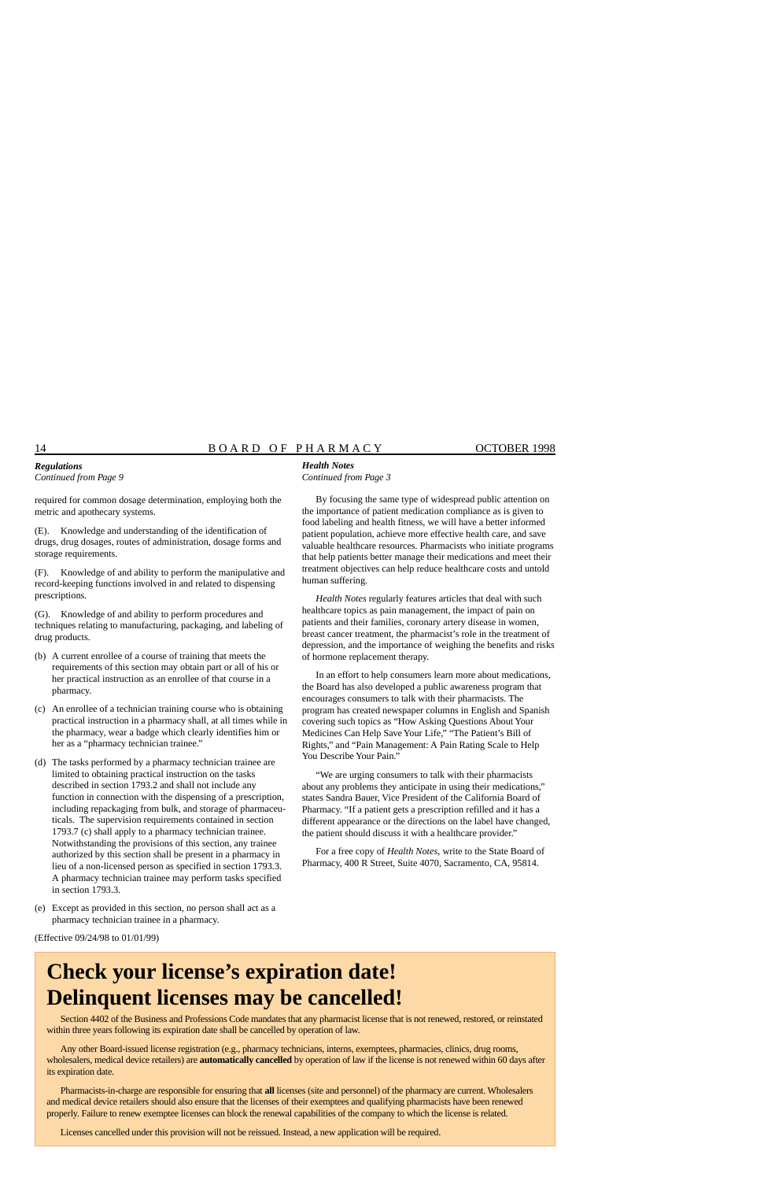#### 14 B O A R D O F P H A R M A C Y OCTOBER 1998

#### *Regulations Continued from Page 9*

required for common dosage determination, employing both the metric and apothecary systems.

(E). Knowledge and understanding of the identification of drugs, drug dosages, routes of administration, dosage forms and storage requirements.

(F). Knowledge of and ability to perform the manipulative and record-keeping functions involved in and related to dispensing prescriptions.

(G). Knowledge of and ability to perform procedures and techniques relating to manufacturing, packaging, and labeling of drug products.

- (b) A current enrollee of a course of training that meets the requirements of this section may obtain part or all of his or her practical instruction as an enrollee of that course in a pharmacy.
- (c) An enrollee of a technician training course who is obtaining practical instruction in a pharmacy shall, at all times while in the pharmacy, wear a badge which clearly identifies him or her as a "pharmacy technician trainee."
- (d) The tasks performed by a pharmacy technician trainee are limited to obtaining practical instruction on the tasks described in section 1793.2 and shall not include any function in connection with the dispensing of a prescription, including repackaging from bulk, and storage of pharmaceuticals. The supervision requirements contained in section 1793.7 (c) shall apply to a pharmacy technician trainee. Notwithstanding the provisions of this section, any trainee authorized by this section shall be present in a pharmacy in lieu of a non-licensed person as specified in section 1793.3. A pharmacy technician trainee may perform tasks specified in section 1793.3.
- (e) Except as provided in this section, no person shall act as a pharmacy technician trainee in a pharmacy.

#### *Health Notes Continued from Page 3*

By focusing the same type of widespread public attention on the importance of patient medication compliance as is given to food labeling and health fitness, we will have a better informed patient population, achieve more effective health care, and save valuable healthcare resources. Pharmacists who initiate programs that help patients better manage their medications and meet their treatment objectives can help reduce healthcare costs and untold human suffering.

*Health Notes* regularly features articles that deal with such healthcare topics as pain management, the impact of pain on patients and their families, coronary artery disease in women, breast cancer treatment, the pharmacist's role in the treatment of depression, and the importance of weighing the benefits and risks of hormone replacement therapy.

In an effort to help consumers learn more about medications, the Board has also developed a public awareness program that encourages consumers to talk with their pharmacists. The program has created newspaper columns in English and Spanish covering such topics as "How Asking Questions About Your Medicines Can Help Save Your Life," "The Patient's Bill of Rights," and "Pain Management: A Pain Rating Scale to Help You Describe Your Pain."

"We are urging consumers to talk with their pharmacists about any problems they anticipate in using their medications," states Sandra Bauer, Vice President of the California Board of Pharmacy. "If a patient gets a prescription refilled and it has a different appearance or the directions on the label have changed, the patient should discuss it with a healthcare provider."

For a free copy of *Health Notes*, write to the State Board of Pharmacy, 400 R Street, Suite 4070, Sacramento, CA, 95814.

(Effective 09/24/98 to 01/01/99)

# **Check your license's expiration date! Delinquent licenses may be cancelled!**

Section 4402 of the Business and Professions Code mandates that any pharmacist license that is not renewed, restored, or reinstated within three years following its expiration date shall be cancelled by operation of law.

Any other Board-issued license registration (e.g., pharmacy technicians, interns, exemptees, pharmacies, clinics, drug rooms, wholesalers, medical device retailers) are **automatically cancelled** by operation of law if the license is not renewed within 60 days after its expiration date.

Pharmacists-in-charge are responsible for ensuring that **all** licenses (site and personnel) of the pharmacy are current. Wholesalers and medical device retailers should also ensure that the licenses of their exemptees and qualifying pharmacists have been renewed properly. Failure to renew exemptee licenses can block the renewal capabilities of the company to which the license is related.

Licenses cancelled under this provision will not be reissued. Instead, a new application will be required.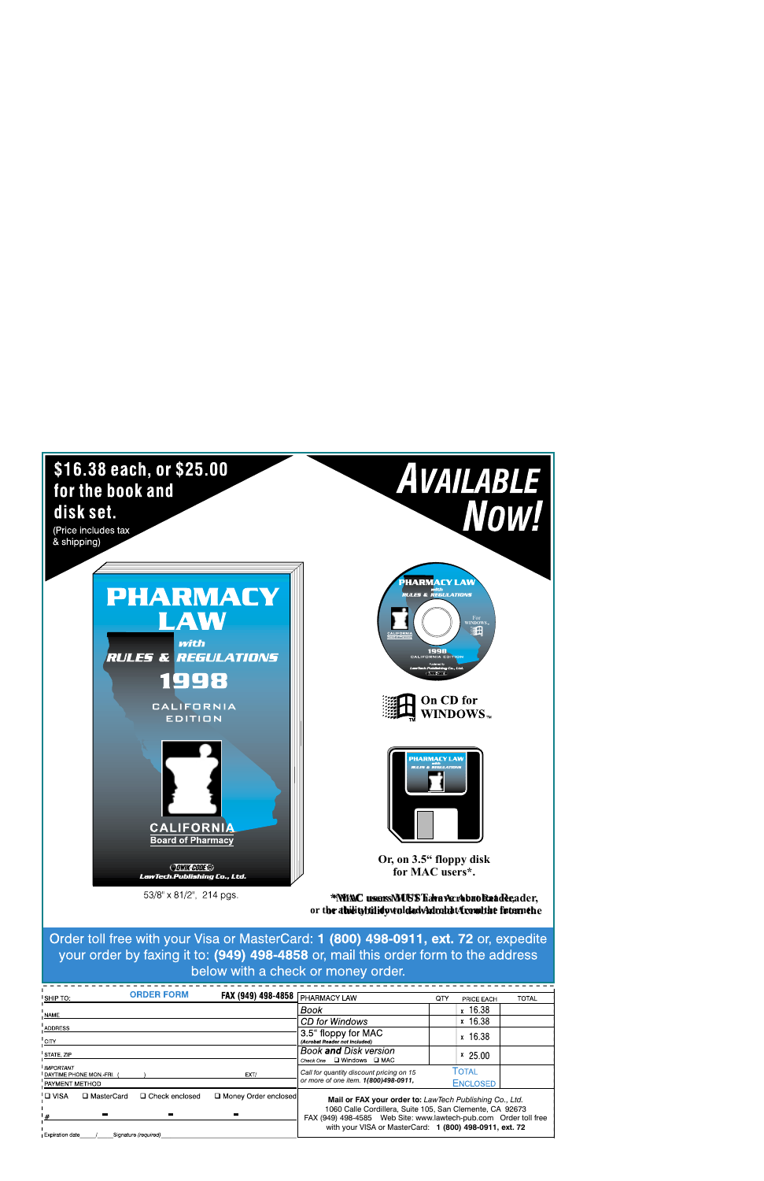

**or the ability to download Acrobat from the internet. or the ability to download Acrobat from the**

**Order toll free with your Visa or MasterCard: 1 (800) 498-0911, ext. 72 or, expedite your order by faxing it to: (949) 498-4858 or, mail this order form to the address below with a check or money order.** 

| <b>ORDER FORM</b><br><b>I SHIP TO:</b>                                 | FAX (949) 498-4858   | <b>PHARMACY LAW</b>                                                                                                                                                                                                                                | QTY | PRICE EACH               | <b>TOTAL</b> |
|------------------------------------------------------------------------|----------------------|----------------------------------------------------------------------------------------------------------------------------------------------------------------------------------------------------------------------------------------------------|-----|--------------------------|--------------|
| NAME                                                                   |                      | Book                                                                                                                                                                                                                                               |     | x 16.38                  |              |
|                                                                        |                      | CD for Windows                                                                                                                                                                                                                                     |     | x 16.38                  |              |
| ADDRESS<br><b>CITY</b>                                                 |                      | 3.5" floppy for MAC<br>(Acrobat Reader not included)                                                                                                                                                                                               |     | x 16.38                  |              |
| STATE, ZIP                                                             |                      | Book and Disk version<br>□ Windows □ MAC<br>Check One                                                                                                                                                                                              |     | $x$ 25.00                |              |
| <b>IMPORTANT</b><br><b>I</b> DAYTIME PHONE MON.-FRI.<br>PAYMENT METHOD | EXT/                 | Call for quantity discount pricing on 15<br>or more of one item. 1(800)498-0911,                                                                                                                                                                   |     | Total<br><b>ENCLOSED</b> |              |
| ' <b>□</b> VISA<br>□ MasterCard<br>□ Check enclosed<br>$^{\prime}$ #   | Money Order enclosed | Mail or FAX your order to: LawTech Publishing Co., Ltd.<br>1060 Calle Cordillera, Suite 105, San Clemente, CA 92673<br>FAX (949) 498-4585 Web Site: www.lawtech-pub.com Order toll free<br>with your VISA or MasterCard: 1 (800) 498-0911, ext. 72 |     |                          |              |
| Expiration date<br>Signature (required)                                |                      |                                                                                                                                                                                                                                                    |     |                          |              |